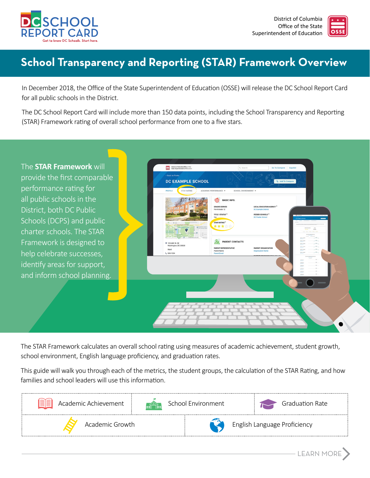



 $-LEARN MORE$ 

# **School Transparency and Reporting (STAR) Framework Overview**

In December 2018, the Office of the State Superintendent of Education (OSSE) will release the DC School Report Card for all public schools in the District.

The DC School Report Card will include more than 150 data points, including the School Transparency and Reporting (STAR) Framework rating of overall school performance from one to a five stars.



The STAR Framework calculates an overall school rating using measures of academic achievement, student growth, school environment, English language proficiency, and graduation rates.

This guide will walk you through each of the metrics, the student groups, the calculation of the STAR Rating, and how families and school leaders will use this information.

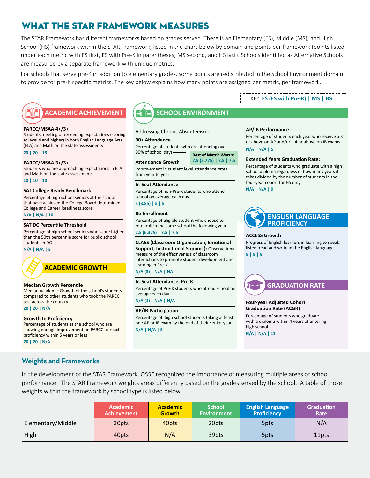### What the STAR Framework Measures

The STAR Framework has different frameworks based on grades served. There is an Elementary (ES), Middle (MS), and High School (HS) framework within the STAR Framework, listed in the chart below by domain and points per framework (points listed under each metric with ES first, ES with Pre-K in parentheses, MS second, and HS last). Schools identified as Alternative Schools are measured by a separate framework with unique metrics.

For schools that serve pre-K in addition to elementary grades, some points are redistributed in the School Environment domain to provide for pre-K specific metrics. The key below explains how many points are assigned per metric, per framework.

#### **PARCC/MSAA 4+/3+**

Students meeting or exceeding expectations (scoring at level 4 and higher) in both English Language Arts (ELA) and Math on the state assessments

**20 | 20 | 15**

#### **PARCC/MSAA 3+/3+**

Students who are approaching expectations in ELA and Math on the state assessments **10 | 10 | 10**

#### **SAT College Ready Benchmark**

Percentage of high school seniors at the school that have achieved the College Board determined College and Career Readiness score **N/A | N/A | 10**

#### **SAT DC Percentile Threshold**

Percentage of high school seniors who score higher than the 50th percentile score for public school students in DC

#### **N/A | N/A | 5**



#### **ACADEMIC GROWTH**

#### **Median Growth Percentile**  Median Academic Growth of the school's students

compared to other students who took the PARCC test across the country

#### **20 | 20 | N/A**

#### **Growth to Proficiency**

Percentage of students at the school who are showing enough improvement on PARCC to reach proficiency within 5 years or less **20 | 20 | N/A**

### **ACADEMIC ACHIEVEMENT SCHOOL ENVIRONMENT**

Addressing Chronic Absenteeism:

#### **90+ Attendance**

Percentage of students who are attending over 90% of school days<sup>-</sup> Best of Metric Worth:

|                                           | $\blacksquare$ Dest of Internet and the |  |  |  |
|-------------------------------------------|-----------------------------------------|--|--|--|
| Attendance Growth 7.5 (5.775)   7.5   7.5 |                                         |  |  |  |
|                                           |                                         |  |  |  |

Improvement in student level attendance rates from year to year

#### **In-Seat Attendance**

Percentage of non-Pre-K students who attend school on average each day

#### **5 (3.85) | 5 | 5**

#### **Re-Enrollment**

Percentage of eligible student who choose to re-enroll in the same school the following year

### **7.5 (6.375) | 7.5 | 7.5**

**CLASS (Classroom Organization, Emotional Support, Instructional Support):** Observational measure of the effectiveness of classroom interactions to promote student development and learning in Pre-K

#### **N/A (3) | N/A | NA**

#### **In-Seat Attendance, Pre-K**

Percentage of Pre-K students who attend school on average each day

**N/A (1) | N/A | N/A**

#### **AP/IB Participation**

Percentage of high school students taking at least one AP or IB exam by the end of their senior year **N/A | N/A | 5**

### KEY: **ES (ES with Pre-K) | MS | HS**

#### **AP/IB Performance**

Percentage of students each year who receive a 3 or above on AP and/or a 4 or above on IB exams. **N/A | N/A | 5**

#### **Extended Years Graduation Rate:**

Percentage of students who graduate with a high school diploma regardless of how many years it takes divided by the number of students in the four-year cohort for HS only **N/A | N/A | 9**

**ENGLISH LANGUAGE PROFICIENCY**

#### **ACCESS Growth**

Progress of English learners in learning to speak, listen, read and write in the English language **5 | 5 | 5**



#### **Four-year Adjusted Cohort Graduation Rate (ACGR)**

Percentage of students who graduate with a diploma within 4 years of entering high school **N/A | N/A | 11**

**Weights and Frameworks**

In the development of the STAR Framework, OSSE recognized the importance of measuring multiple areas of school performance. The STAR Framework weights areas differently based on the grades served by the school. A table of those weights within the framework by school type is listed below.

|                   | <b>Academic</b><br><b>Achievement</b> | <b>Academic</b><br><b>Growth</b> | <b>School</b><br>Environment | <b>English Language</b><br><b>Proficiency</b> | <b>Graduation</b><br>Rate |
|-------------------|---------------------------------------|----------------------------------|------------------------------|-----------------------------------------------|---------------------------|
| Elementary/Middle | 30pts                                 | 40pts                            | 20pts                        | 5 <sub>p</sub> ts                             | N/A                       |
| High              | 40pts                                 | N/A                              | 39pts                        | 5pts                                          | 11pts                     |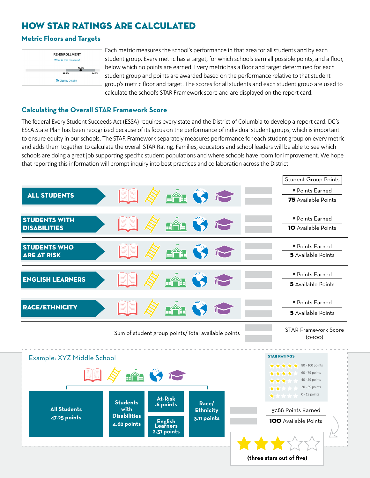### How STAR Ratings Are Calculated

### **Metric Floors and Targets**



Each metric measures the school's performance in that area for all students and by each student group. Every metric has a target, for which schools earn all possible points, and a floor, below which no points are earned. Every metric has a floor and target determined for each student group and points are awarded based on the performance relative to that student group's metric floor and target. The scores for all students and each student group are used to calculate the school's STAR Framework score and are displayed on the report card.

### **Calculating the Overall STAR Framework Score**

The federal Every Student Succeeds Act (ESSA) requires every state and the District of Columbia to develop a report card. DC's ESSA State Plan has been recognized because of its focus on the performance of individual student groups, which is important to ensure equity in our schools. The STAR Framework separately measures performance for each student group on every metric and adds them together to calculate the overall STAR Rating. Families, educators and school leaders will be able to see which schools are doing a great job supporting specific student populations and where schools have room for improvement. We hope that reporting this information will prompt inquiry into best practices and collaboration across the District.



**4.62 points**

**English Learners 2.31 points** 100 Available Points

**(three stars out of five)**